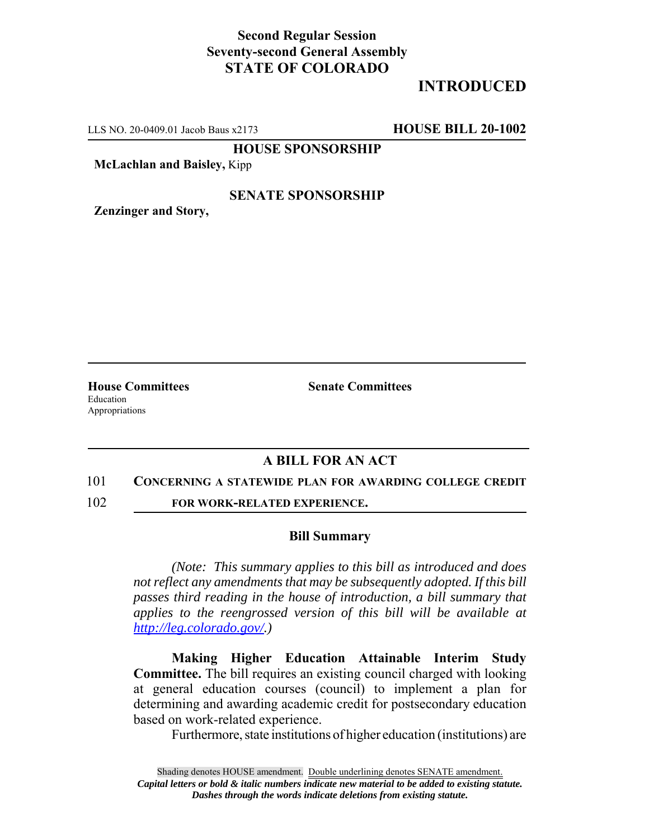## **Second Regular Session Seventy-second General Assembly STATE OF COLORADO**

# **INTRODUCED**

LLS NO. 20-0409.01 Jacob Baus x2173 **HOUSE BILL 20-1002**

**HOUSE SPONSORSHIP**

**McLachlan and Baisley,** Kipp

### **SENATE SPONSORSHIP**

**Zenzinger and Story,**

Education Appropriations

**House Committees Senate Committees** 

## **A BILL FOR AN ACT**

#### 101 **CONCERNING A STATEWIDE PLAN FOR AWARDING COLLEGE CREDIT**

102 **FOR WORK-RELATED EXPERIENCE.**

#### **Bill Summary**

*(Note: This summary applies to this bill as introduced and does not reflect any amendments that may be subsequently adopted. If this bill passes third reading in the house of introduction, a bill summary that applies to the reengrossed version of this bill will be available at http://leg.colorado.gov/.)*

**Making Higher Education Attainable Interim Study Committee.** The bill requires an existing council charged with looking at general education courses (council) to implement a plan for determining and awarding academic credit for postsecondary education based on work-related experience.

Furthermore, state institutions of higher education (institutions) are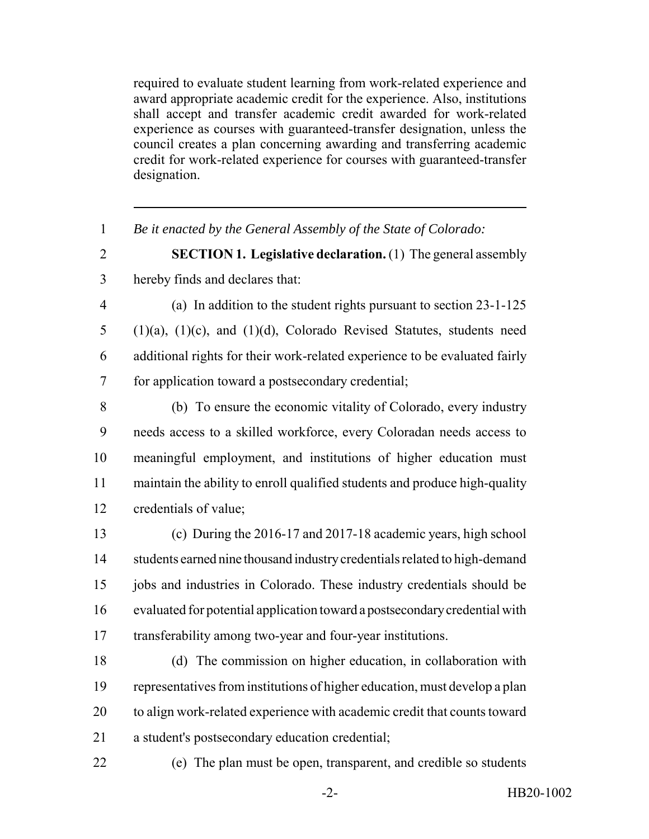required to evaluate student learning from work-related experience and award appropriate academic credit for the experience. Also, institutions shall accept and transfer academic credit awarded for work-related experience as courses with guaranteed-transfer designation, unless the council creates a plan concerning awarding and transferring academic credit for work-related experience for courses with guaranteed-transfer designation.

*Be it enacted by the General Assembly of the State of Colorado:*

 **SECTION 1. Legislative declaration.** (1) The general assembly hereby finds and declares that:

- (a) In addition to the student rights pursuant to section 23-1-125 (1)(a), (1)(c), and (1)(d), Colorado Revised Statutes, students need additional rights for their work-related experience to be evaluated fairly for application toward a postsecondary credential;
- (b) To ensure the economic vitality of Colorado, every industry needs access to a skilled workforce, every Coloradan needs access to meaningful employment, and institutions of higher education must maintain the ability to enroll qualified students and produce high-quality credentials of value;
- (c) During the 2016-17 and 2017-18 academic years, high school students earned nine thousand industry credentials related to high-demand jobs and industries in Colorado. These industry credentials should be evaluated for potential application toward a postsecondary credential with transferability among two-year and four-year institutions.
- (d) The commission on higher education, in collaboration with representatives from institutions of higher education, must develop a plan to align work-related experience with academic credit that counts toward a student's postsecondary education credential;
- 

(e) The plan must be open, transparent, and credible so students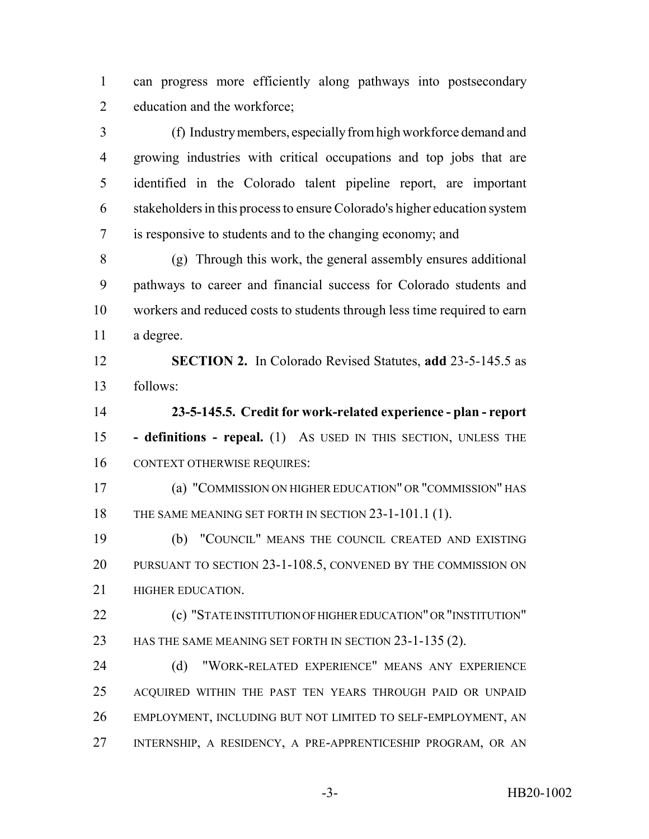can progress more efficiently along pathways into postsecondary education and the workforce;

 (f) Industry members, especially from high workforce demand and growing industries with critical occupations and top jobs that are identified in the Colorado talent pipeline report, are important stakeholders in this process to ensure Colorado's higher education system is responsive to students and to the changing economy; and

 (g) Through this work, the general assembly ensures additional pathways to career and financial success for Colorado students and workers and reduced costs to students through less time required to earn a degree.

 **SECTION 2.** In Colorado Revised Statutes, **add** 23-5-145.5 as follows:

 **23-5-145.5. Credit for work-related experience - plan - report - definitions - repeal.** (1) AS USED IN THIS SECTION, UNLESS THE CONTEXT OTHERWISE REQUIRES:

 (a) "COMMISSION ON HIGHER EDUCATION" OR "COMMISSION" HAS 18 THE SAME MEANING SET FORTH IN SECTION 23-1-101.1 (1).

 (b) "COUNCIL" MEANS THE COUNCIL CREATED AND EXISTING PURSUANT TO SECTION 23-1-108.5, CONVENED BY THE COMMISSION ON **HIGHER EDUCATION.** 

 (c) "STATE INSTITUTION OF HIGHER EDUCATION" OR "INSTITUTION" 23 HAS THE SAME MEANING SET FORTH IN SECTION 23-1-135 (2).

 (d) "WORK-RELATED EXPERIENCE" MEANS ANY EXPERIENCE ACQUIRED WITHIN THE PAST TEN YEARS THROUGH PAID OR UNPAID EMPLOYMENT, INCLUDING BUT NOT LIMITED TO SELF-EMPLOYMENT, AN INTERNSHIP, A RESIDENCY, A PRE-APPRENTICESHIP PROGRAM, OR AN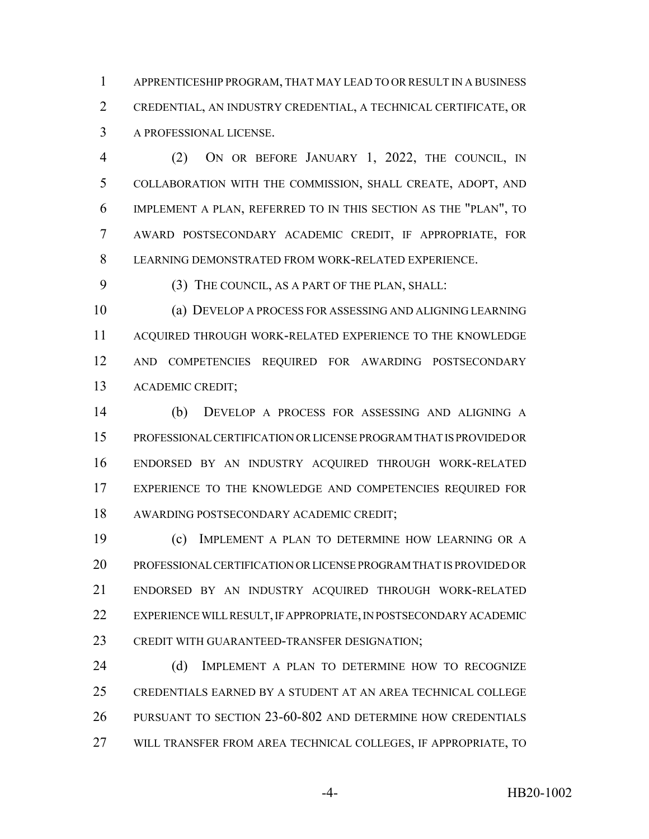APPRENTICESHIP PROGRAM, THAT MAY LEAD TO OR RESULT IN A BUSINESS CREDENTIAL, AN INDUSTRY CREDENTIAL, A TECHNICAL CERTIFICATE, OR A PROFESSIONAL LICENSE.

 (2) ON OR BEFORE JANUARY 1, 2022, THE COUNCIL, IN COLLABORATION WITH THE COMMISSION, SHALL CREATE, ADOPT, AND IMPLEMENT A PLAN, REFERRED TO IN THIS SECTION AS THE "PLAN", TO AWARD POSTSECONDARY ACADEMIC CREDIT, IF APPROPRIATE, FOR LEARNING DEMONSTRATED FROM WORK-RELATED EXPERIENCE.

(3) THE COUNCIL, AS A PART OF THE PLAN, SHALL:

 (a) DEVELOP A PROCESS FOR ASSESSING AND ALIGNING LEARNING ACQUIRED THROUGH WORK-RELATED EXPERIENCE TO THE KNOWLEDGE AND COMPETENCIES REQUIRED FOR AWARDING POSTSECONDARY ACADEMIC CREDIT;

 (b) DEVELOP A PROCESS FOR ASSESSING AND ALIGNING A PROFESSIONAL CERTIFICATION OR LICENSE PROGRAM THAT IS PROVIDED OR ENDORSED BY AN INDUSTRY ACQUIRED THROUGH WORK-RELATED EXPERIENCE TO THE KNOWLEDGE AND COMPETENCIES REQUIRED FOR AWARDING POSTSECONDARY ACADEMIC CREDIT;

 (c) IMPLEMENT A PLAN TO DETERMINE HOW LEARNING OR A PROFESSIONAL CERTIFICATION OR LICENSE PROGRAM THAT IS PROVIDED OR ENDORSED BY AN INDUSTRY ACQUIRED THROUGH WORK-RELATED EXPERIENCE WILL RESULT, IF APPROPRIATE, IN POSTSECONDARY ACADEMIC CREDIT WITH GUARANTEED-TRANSFER DESIGNATION;

24 (d) IMPLEMENT A PLAN TO DETERMINE HOW TO RECOGNIZE CREDENTIALS EARNED BY A STUDENT AT AN AREA TECHNICAL COLLEGE PURSUANT TO SECTION 23-60-802 AND DETERMINE HOW CREDENTIALS WILL TRANSFER FROM AREA TECHNICAL COLLEGES, IF APPROPRIATE, TO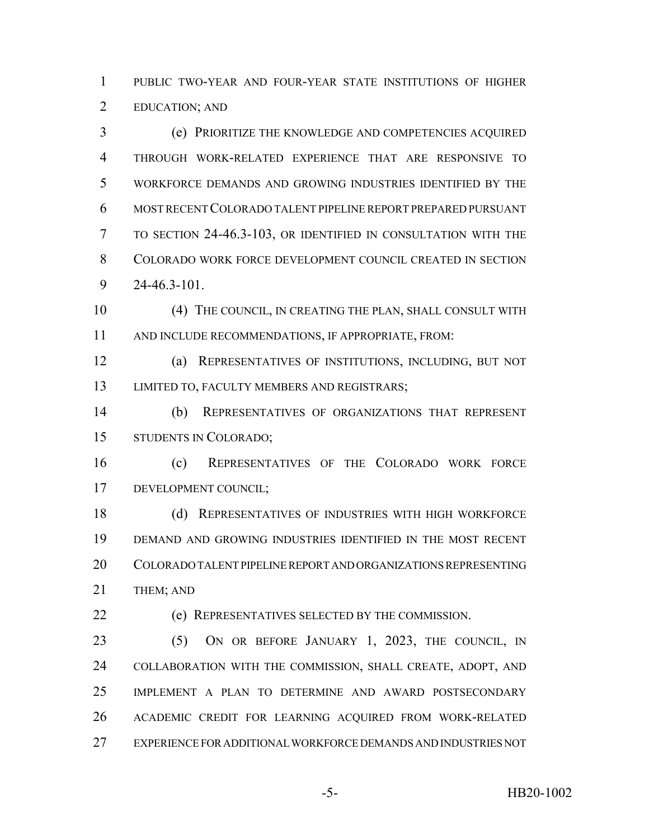PUBLIC TWO-YEAR AND FOUR-YEAR STATE INSTITUTIONS OF HIGHER EDUCATION; AND

 (e) PRIORITIZE THE KNOWLEDGE AND COMPETENCIES ACQUIRED THROUGH WORK-RELATED EXPERIENCE THAT ARE RESPONSIVE TO WORKFORCE DEMANDS AND GROWING INDUSTRIES IDENTIFIED BY THE MOST RECENT COLORADO TALENT PIPELINE REPORT PREPARED PURSUANT TO SECTION 24-46.3-103, OR IDENTIFIED IN CONSULTATION WITH THE COLORADO WORK FORCE DEVELOPMENT COUNCIL CREATED IN SECTION 24-46.3-101.

 (4) THE COUNCIL, IN CREATING THE PLAN, SHALL CONSULT WITH AND INCLUDE RECOMMENDATIONS, IF APPROPRIATE, FROM:

 (a) REPRESENTATIVES OF INSTITUTIONS, INCLUDING, BUT NOT LIMITED TO, FACULTY MEMBERS AND REGISTRARS;

 (b) REPRESENTATIVES OF ORGANIZATIONS THAT REPRESENT STUDENTS IN COLORADO;

 (c) REPRESENTATIVES OF THE COLORADO WORK FORCE DEVELOPMENT COUNCIL;

 (d) REPRESENTATIVES OF INDUSTRIES WITH HIGH WORKFORCE DEMAND AND GROWING INDUSTRIES IDENTIFIED IN THE MOST RECENT COLORADO TALENT PIPELINE REPORT AND ORGANIZATIONS REPRESENTING 21 THEM; AND

(e) REPRESENTATIVES SELECTED BY THE COMMISSION.

 (5) ON OR BEFORE JANUARY 1, 2023, THE COUNCIL, IN COLLABORATION WITH THE COMMISSION, SHALL CREATE, ADOPT, AND IMPLEMENT A PLAN TO DETERMINE AND AWARD POSTSECONDARY ACADEMIC CREDIT FOR LEARNING ACQUIRED FROM WORK-RELATED EXPERIENCE FOR ADDITIONAL WORKFORCE DEMANDS AND INDUSTRIES NOT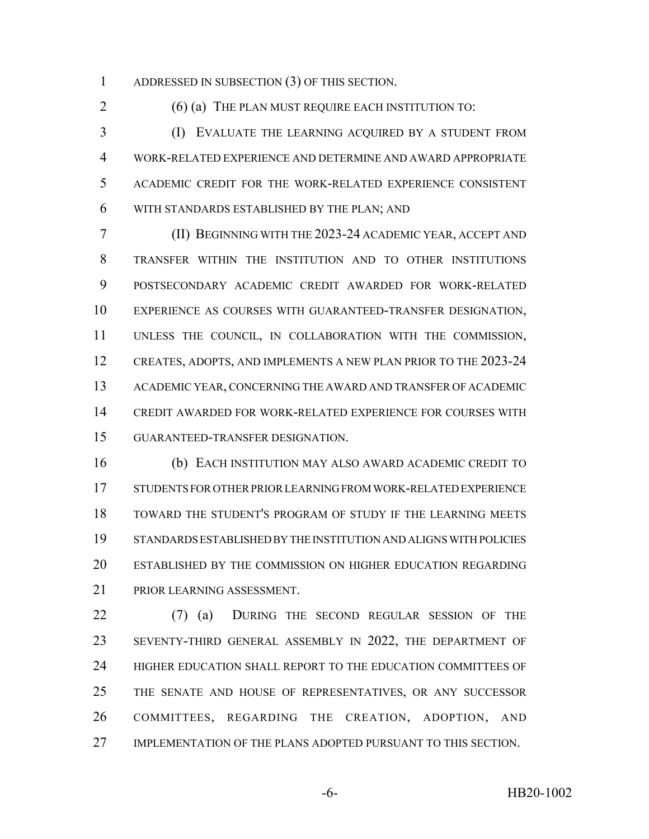ADDRESSED IN SUBSECTION (3) OF THIS SECTION.

2 (6) (a) THE PLAN MUST REQUIRE EACH INSTITUTION TO:

 (I) EVALUATE THE LEARNING ACQUIRED BY A STUDENT FROM WORK-RELATED EXPERIENCE AND DETERMINE AND AWARD APPROPRIATE ACADEMIC CREDIT FOR THE WORK-RELATED EXPERIENCE CONSISTENT WITH STANDARDS ESTABLISHED BY THE PLAN; AND

 (II) BEGINNING WITH THE 2023-24 ACADEMIC YEAR, ACCEPT AND TRANSFER WITHIN THE INSTITUTION AND TO OTHER INSTITUTIONS POSTSECONDARY ACADEMIC CREDIT AWARDED FOR WORK-RELATED EXPERIENCE AS COURSES WITH GUARANTEED-TRANSFER DESIGNATION, UNLESS THE COUNCIL, IN COLLABORATION WITH THE COMMISSION, CREATES, ADOPTS, AND IMPLEMENTS A NEW PLAN PRIOR TO THE 2023-24 ACADEMIC YEAR, CONCERNING THE AWARD AND TRANSFER OF ACADEMIC CREDIT AWARDED FOR WORK-RELATED EXPERIENCE FOR COURSES WITH GUARANTEED-TRANSFER DESIGNATION.

 (b) EACH INSTITUTION MAY ALSO AWARD ACADEMIC CREDIT TO STUDENTS FOR OTHER PRIOR LEARNING FROM WORK-RELATED EXPERIENCE TOWARD THE STUDENT'S PROGRAM OF STUDY IF THE LEARNING MEETS STANDARDS ESTABLISHED BY THE INSTITUTION AND ALIGNS WITH POLICIES ESTABLISHED BY THE COMMISSION ON HIGHER EDUCATION REGARDING PRIOR LEARNING ASSESSMENT.

 (7) (a) DURING THE SECOND REGULAR SESSION OF THE SEVENTY-THIRD GENERAL ASSEMBLY IN 2022, THE DEPARTMENT OF HIGHER EDUCATION SHALL REPORT TO THE EDUCATION COMMITTEES OF THE SENATE AND HOUSE OF REPRESENTATIVES, OR ANY SUCCESSOR COMMITTEES, REGARDING THE CREATION, ADOPTION, AND IMPLEMENTATION OF THE PLANS ADOPTED PURSUANT TO THIS SECTION.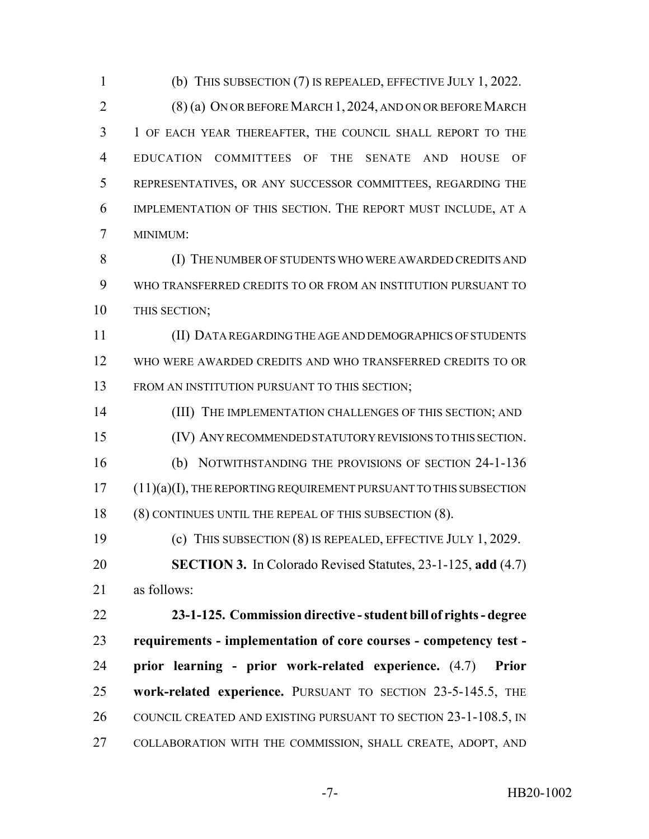(b) THIS SUBSECTION (7) IS REPEALED, EFFECTIVE JULY 1, 2022.

 (8) (a) ON OR BEFORE MARCH 1, 2024, AND ON OR BEFORE MARCH 1 OF EACH YEAR THEREAFTER, THE COUNCIL SHALL REPORT TO THE EDUCATION COMMITTEES OF THE SENATE AND HOUSE OF REPRESENTATIVES, OR ANY SUCCESSOR COMMITTEES, REGARDING THE IMPLEMENTATION OF THIS SECTION. THE REPORT MUST INCLUDE, AT A MINIMUM:

8 (I) THE NUMBER OF STUDENTS WHO WERE AWARDED CREDITS AND WHO TRANSFERRED CREDITS TO OR FROM AN INSTITUTION PURSUANT TO THIS SECTION;

 (II) DATA REGARDING THE AGE AND DEMOGRAPHICS OF STUDENTS WHO WERE AWARDED CREDITS AND WHO TRANSFERRED CREDITS TO OR FROM AN INSTITUTION PURSUANT TO THIS SECTION;

14 (III) THE IMPLEMENTATION CHALLENGES OF THIS SECTION; AND (IV) ANY RECOMMENDED STATUTORY REVISIONS TO THIS SECTION. (b) NOTWITHSTANDING THE PROVISIONS OF SECTION 24-1-136 (11)(a)(I), THE REPORTING REQUIREMENT PURSUANT TO THIS SUBSECTION (8) CONTINUES UNTIL THE REPEAL OF THIS SUBSECTION (8). (c) THIS SUBSECTION (8) IS REPEALED, EFFECTIVE JULY 1, 2029. **SECTION 3.** In Colorado Revised Statutes, 23-1-125, **add** (4.7) as follows: **23-1-125. Commission directive - student bill of rights - degree**

 **requirements - implementation of core courses - competency test - prior learning - prior work-related experience.** (4.7) **Prior work-related experience.** PURSUANT TO SECTION 23-5-145.5, THE COUNCIL CREATED AND EXISTING PURSUANT TO SECTION 23-1-108.5, IN COLLABORATION WITH THE COMMISSION, SHALL CREATE, ADOPT, AND